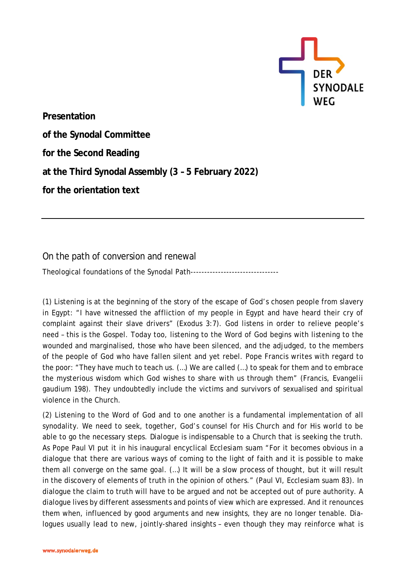

**Presentation of the Synodal Committee for the Second Reading at the Third Synodal Assembly (3 – 5 February 2022) for the orientation text**

On the path of conversion and renewal

Theological foundations of the Synodal Path--------------------------------

(1) Listening is at the beginning of the story of the escape of God's chosen people from slavery in Egypt: "I have witnessed the affliction of my people in Egypt and have heard their cry of complaint against their slave drivers" (Exodus 3:7). God listens in order to relieve people's need – this is the Gospel. Today too, listening to the Word of God begins with listening to the wounded and marginalised, those who have been silenced, and the adjudged, to the members of the people of God who have fallen silent and yet rebel. Pope Francis writes with regard to the poor: "They have much to teach us. (…) We are called (…) to speak for them and to embrace the mysterious wisdom which God wishes to share with us through them" (Francis, *Evangelii gaudium* 198). They undoubtedly include the victims and survivors of sexualised and spiritual violence in the Church.

(2) Listening to the Word of God and to one another is a fundamental implementation of all synodality. We need to seek, together, God's counsel for His Church and for His world to be able to go the necessary steps. Dialogue is indispensable to a Church that is seeking the truth. As Pope Paul VI put it in his inaugural encyclical *Ecclesiam suam* "For it becomes obvious in a dialogue that there are various ways of coming to the light of faith and it is possible to make them all converge on the same goal. (…) It will be a slow process of thought, but it will result in the discovery of elements of truth in the opinion of others." (Paul VI, *Ecclesiam suam* 83). In dialogue the claim to truth will have to be argued and not be accepted out of pure authority. A dialogue lives by different assessments and points of view which are expressed. And it renounces them when, influenced by good arguments and new insights, they are no longer tenable. Dialogues usually lead to new, jointly-shared insights – even though they may reinforce what is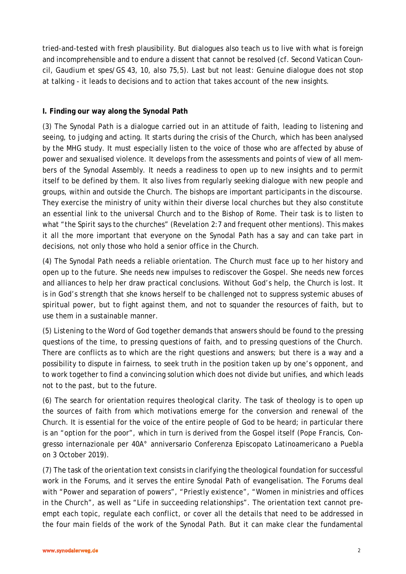tried-and-tested with fresh plausibility. But dialogues also teach us to live with what is foreign and incomprehensible and to endure a dissent that cannot be resolved (cf. Second Vatican Council, *Gaudium et spes*/GS 43, 10, also 75,5). Last but not least: Genuine dialogue does not stop at talking - it leads to decisions and to action that takes account of the new insights.

#### **I. Finding our way along the Synodal Path**

(3) The Synodal Path is a dialogue carried out in an attitude of faith, leading to listening and seeing, to judging and acting. It starts during the crisis of the Church, which has been analysed by the MHG study. It must especially listen to the voice of those who are affected by abuse of power and sexualised violence. It develops from the assessments and points of view of all members of the Synodal Assembly. It needs a readiness to open up to new insights and to permit itself to be defined by them. It also lives from regularly seeking dialogue with new people and groups, within and outside the Church. The bishops are important participants in the discourse. They exercise the ministry of unity within their diverse local churches but they also constitute an essential link to the universal Church and to the Bishop of Rome. Their task is to listen to what "the Spirit says to the churches" (Revelation 2:7 and frequent other mentions). This makes it all the more important that everyone on the Synodal Path has a say and can take part in decisions, not only those who hold a senior office in the Church.

(4) The Synodal Path needs a reliable orientation. The Church must face up to her history and open up to the future. She needs new impulses to rediscover the Gospel. She needs new forces and alliances to help her draw practical conclusions. Without God's help, the Church is lost. It is in God's strength that she knows herself to be challenged not to suppress systemic abuses of spiritual power, but to fight against them, and not to squander the resources of faith, but to use them in a sustainable manner.

(5) Listening to the Word of God together demands that answers should be found to the pressing questions of the time, to pressing questions of faith, and to pressing questions of the Church. There are conflicts as to which are the right questions and answers; but there is a way and a possibility to dispute in fairness, to seek truth in the position taken up by one's opponent, and to work together to find a convincing solution which does not divide but unifies, and which leads not to the past, but to the future.

(6) The search for orientation requires theological clarity. The task of theology is to open up the sources of faith from which motivations emerge for the conversion and renewal of the Church. It is essential for the voice of the entire people of God to be heard; in particular there is an "option for the poor", which in turn is derived from the Gospel itself (Pope Francis, Congresso internazionale per 40A° anniversario Conferenza Episcopato Latinoamericano a Puebla on 3 October 2019).

(7) The task of the orientation text consists in clarifying the theological foundation for successful work in the Forums, and it serves the entire Synodal Path of evangelisation. The Forums deal with "Power and separation of powers", "Priestly existence", "Women in ministries and offices in the Church", as well as "Life in succeeding relationships". The orientation text cannot preempt each topic, regulate each conflict, or cover all the details that need to be addressed in the four main fields of the work of the Synodal Path. But it can make clear the fundamental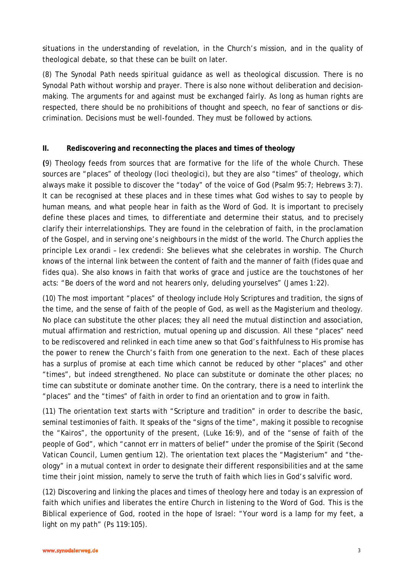situations in the understanding of revelation, in the Church's mission, and in the quality of theological debate, so that these can be built on later.

(8) The Synodal Path needs spiritual guidance as well as theological discussion. There is no Synodal Path without worship and prayer. There is also none without deliberation and decisionmaking. The arguments for and against must be exchanged fairly. As long as human rights are respected, there should be no prohibitions of thought and speech, no fear of sanctions or discrimination. Decisions must be well-founded. They must be followed by actions.

### **II. Rediscovering and reconnecting the places and times of theology**

**(**9) Theology feeds from sources that are formative for the life of the whole Church. These sources are "places" of theology *(loci theologici)*, but they are also "times" of theology, which always make it possible to discover the "today" of the voice of God (Psalm 95:7; Hebrews 3:7). It can be recognised at these places and in these times what God wishes to say to people by human means, and what people hear in faith as the Word of God. It is important to precisely define these places and times, to differentiate and determine their status, and to precisely clarify their interrelationships. They are found in the celebration of faith, in the proclamation of the Gospel, and in serving one's neighbours in the midst of the world. The Church applies the principle *Lex orandi – lex credendi:* She believes what she celebrates in worship. The Church knows of the internal link between the content of faith and the manner of faith (*fides quae* and *fides qua).* She also knows in faith that works of grace and justice are the touchstones of her acts: "Be doers of the word and not hearers only, deluding yourselves" (James 1:22).

(10) The most important "places" of theology include Holy Scriptures and tradition, the signs of the time, and the sense of faith of the people of God, as well as the Magisterium and theology. No place can substitute the other places; they all need the mutual distinction and association, mutual affirmation and restriction, mutual opening up and discussion. All these "places" need to be rediscovered and relinked in each time anew so that God's faithfulness to His promise has the power to renew the Church's faith from one generation to the next. Each of these places has a surplus of promise at each time which cannot be reduced by other "places" and other "times", but indeed strengthened. No place can substitute or dominate the other places; no time can substitute or dominate another time. On the contrary, there is a need to interlink the "places" and the "times" of faith in order to find an orientation and to grow in faith.

(11) The orientation text starts with "Scripture and tradition" in order to describe the basic, seminal testimonies of faith. It speaks of the "signs of the time", making it possible to recognise the "Kairos", the opportunity of the present, (Luke 16:9), and of the "sense of faith of the people of God", which "cannot err in matters of belief" under the promise of the Spirit (Second Vatican Council, *Lumen gentium* 12). The orientation text places the "Magisterium" and "theology" in a mutual context in order to designate their different responsibilities and at the same time their joint mission, namely to serve the truth of faith which lies in God's salvific word.

(12) Discovering and linking the places and times of theology here and today is an expression of faith which unifies and liberates the entire Church in listening to the Word of God. This is the Biblical experience of God, rooted in the hope of Israel: "Your word is a lamp for my feet, a light on my path" (Ps 119:105).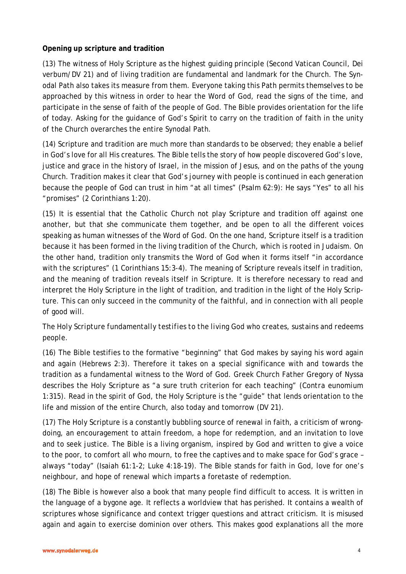### **Opening up scripture and tradition**

(13) The witness of Holy Scripture as the highest guiding principle (Second Vatican Council, *Dei verbum*/DV 21) and of living tradition are fundamental and landmark for the Church. The Synodal Path also takes its measure from them. Everyone taking this Path permits themselves to be approached by this witness in order to hear the Word of God, read the signs of the time, and participate in the sense of faith of the people of God. The Bible provides orientation for the life of today. Asking for the guidance of God's Spirit to carry on the tradition of faith in the unity of the Church overarches the entire Synodal Path.

(14) Scripture and tradition are much more than standards to be observed; they enable a belief in God's love for all His creatures. The Bible tells the story of how people discovered God's love, justice and grace in the history of Israel, in the mission of Jesus, and on the paths of the young Church. Tradition makes it clear that God's journey with people is continued in each generation because the people of God can trust in him "at all times" (Psalm 62:9): He says "Yes" to all his "promises" (2 Corinthians 1:20).

(15) It is essential that the Catholic Church not play Scripture and tradition off against one another, but that she communicate them together, and be open to all the different voices speaking as human witnesses of the Word of God. On the one hand, Scripture itself is a tradition because it has been formed in the living tradition of the Church, which is rooted in Judaism. On the other hand, tradition only transmits the Word of God when it forms itself "in accordance with the scriptures" (1 Corinthians 15:3-4). The meaning of Scripture reveals itself in tradition, and the meaning of tradition reveals itself in Scripture. It is therefore necessary to read and interpret the Holy Scripture in the light of tradition, and tradition in the light of the Holy Scripture. This can only succeed in the community of the faithful, and in connection with all people of good will.

# *The Holy Scripture fundamentally testifies to the living God who creates, sustains and redeems people.*

(16) The Bible testifies to the formative "beginning" that God makes by saying his word again and again (Hebrews 2:3). Therefore it takes on a special significance with and towards the tradition as a fundamental witness to the Word of God. Greek Church Father Gregory of Nyssa describes the Holy Scripture as "a sure truth criterion for each teaching" (*Contra eunomium* 1:315). Read in the spirit of God, the Holy Scripture is the "guide" that lends orientation to the life and mission of the entire Church, also today and tomorrow (DV 21).

(17) The Holy Scripture is a constantly bubbling source of renewal in faith, a criticism of wrongdoing, an encouragement to attain freedom, a hope for redemption, and an invitation to love and to seek justice. The Bible is a living organism, inspired by God and written to give a voice to the poor, to comfort all who mourn, to free the captives and to make space for God's grace – always "today" (Isaiah 61:1-2; Luke 4:18-19). The Bible stands for faith in God, love for one's neighbour, and hope of renewal which imparts a foretaste of redemption.

(18) The Bible is however also a book that many people find difficult to access. It is written in the language of a bygone age. It reflects a worldview that has perished. It contains a wealth of scriptures whose significance and context trigger questions and attract criticism. It is misused again and again to exercise dominion over others. This makes good explanations all the more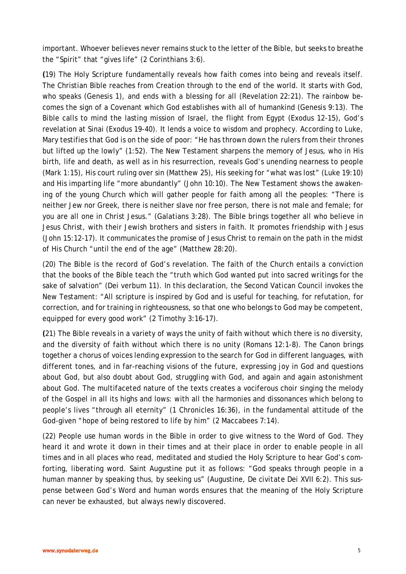important. Whoever believes never remains stuck to the letter of the Bible, but seeks to breathe the "Spirit" that "gives life" (2 Corinthians 3:6).

**(**19) The Holy Scripture fundamentally reveals how faith comes into being and reveals itself. The Christian Bible reaches from Creation through to the end of the world. It starts with God, who speaks (Genesis 1), and ends with a blessing for all (Revelation 22:21). The rainbow becomes the sign of a Covenant which God establishes with all of humankind (Genesis 9:13). The Bible calls to mind the lasting mission of Israel, the flight from Egypt (Exodus 12-15), God's revelation at Sinai (Exodus 19-40). It lends a voice to wisdom and prophecy. According to Luke, Mary testifies that God is on the side of poor: "He has thrown down the rulers from their thrones but lifted up the lowly" (1:52). The New Testament sharpens the memory of Jesus, who in His birth, life and death, as well as in his resurrection, reveals God's unending nearness to people (Mark 1:15), His court ruling over sin (Matthew 25), His seeking for "what was lost" (Luke 19:10) and His imparting life "more abundantly" (John 10:10). The New Testament shows the awakening of the young Church which will gather people for faith among all the peoples: "There is neither Jew nor Greek, there is neither slave nor free person, there is not male and female; for you are all one in Christ Jesus." (Galatians 3:28). The Bible brings together all who believe in Jesus Christ, with their Jewish brothers and sisters in faith. It promotes friendship with Jesus (John 15:12-17). It communicates the promise of Jesus Christ to remain on the path in the midst of His Church "until the end of the age" (Matthew 28:20).

(20) The Bible is the record of God's revelation. The faith of the Church entails a conviction that the books of the Bible teach the "truth which God wanted put into sacred writings for the sake of salvation" (*Dei verbum* 11). In this declaration, the Second Vatican Council invokes the New Testament: "All scripture is inspired by God and is useful for teaching, for refutation, for correction, and for training in righteousness, so that one who belongs to God may be competent, equipped for every good work" (2 Timothy 3:16-17).

**(**21) The Bible reveals in a variety of ways the unity of faith without which there is no diversity, and the diversity of faith without which there is no unity (Romans 12:1-8). The Canon brings together a chorus of voices lending expression to the search for God in different languages, with different tones, and in far-reaching visions of the future, expressing joy in God and questions about God, but also doubt about God, struggling with God, and again and again astonishment about God. The multifaceted nature of the texts creates a vociferous choir singing the melody of the Gospel in all its highs and lows: with all the harmonies and dissonances which belong to people's lives "through all eternity" (1 Chronicles 16:36), in the fundamental attitude of the God-given "hope of being restored to life by him" (2 Maccabees 7:14).

(22) People use human words in the Bible in order to give witness to the Word of God. They heard it and wrote it down in their times and at their place in order to enable people in all times and in all places who read, meditated and studied the Holy Scripture to hear God's comforting, liberating word. Saint Augustine put it as follows: "God speaks through people in a human manner by speaking thus, by seeking us" (Augustine, *De civitate Dei* XVII 6:2). This suspense between God's Word and human words ensures that the meaning of the Holy Scripture can never be exhausted, but always newly discovered.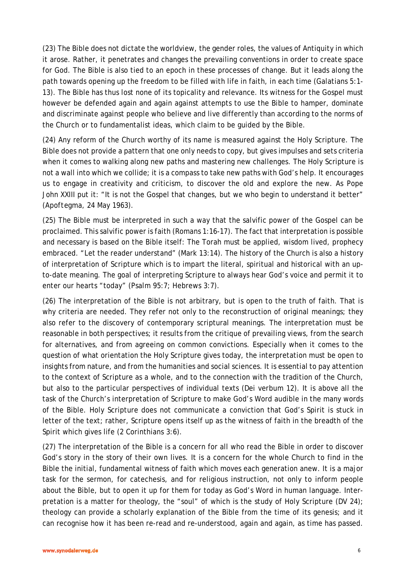(23) The Bible does not dictate the worldview, the gender roles, the values of Antiquity in which it arose. Rather, it penetrates and changes the prevailing conventions in order to create space for God. The Bible is also tied to an epoch in these processes of change. But it leads along the path towards opening up the freedom to be filled with life in faith, in each time (Galatians 5:1- 13). The Bible has thus lost none of its topicality and relevance. Its witness for the Gospel must however be defended again and again against attempts to use the Bible to hamper, dominate and discriminate against people who believe and live differently than according to the norms of the Church or to fundamentalist ideas, which claim to be guided by the Bible.

(24) Any reform of the Church worthy of its name is measured against the Holy Scripture. The Bible does not provide a pattern that one only needs to copy, but gives impulses and sets criteria when it comes to walking along new paths and mastering new challenges. The Holy Scripture is not a wall into which we collide; it is a compass to take new paths with God's help. It encourages us to engage in creativity and criticism, to discover the old and explore the new. As Pope John XXIII put it: "It is not the Gospel that changes, but we who begin to understand it better" (*Apoftegma*, 24 May 1963).

(25) The Bible must be interpreted in such a way that the salvific power of the Gospel can be proclaimed. This salvific power is faith (Romans 1:16-17). The fact that interpretation is possible and necessary is based on the Bible itself: The Torah must be applied, wisdom lived, prophecy embraced. "Let the reader understand" (Mark 13:14). The history of the Church is also a history of interpretation of Scripture which is to impart the literal, spiritual and historical with an upto-date meaning. The goal of interpreting Scripture to always hear God's voice and permit it to enter our hearts "today" (Psalm 95:7; Hebrews 3:7).

(26) The interpretation of the Bible is not arbitrary, but is open to the truth of faith. That is why criteria are needed. They refer not only to the reconstruction of original meanings; they also refer to the discovery of contemporary scriptural meanings. The interpretation must be reasonable in both perspectives; it results from the critique of prevailing views, from the search for alternatives, and from agreeing on common convictions. Especially when it comes to the question of what orientation the Holy Scripture gives today, the interpretation must be open to insights from nature, and from the humanities and social sciences. It is essential to pay attention to the context of Scripture as a whole, and to the connection with the tradition of the Church, but also to the particular perspectives of individual texts (*Dei verbum* 12). It is above all the task of the Church's interpretation of Scripture to make God's Word audible in the many words of the Bible. Holy Scripture does not communicate a conviction that God's Spirit is stuck in letter of the text; rather, Scripture opens itself up as the witness of faith in the breadth of the Spirit which gives life (2 Corinthians 3:6).

(27) The interpretation of the Bible is a concern for all who read the Bible in order to discover God's story in the story of their own lives. It is a concern for the whole Church to find in the Bible the initial, fundamental witness of faith which moves each generation anew. It is a major task for the sermon, for catechesis, and for religious instruction, not only to inform people about the Bible, but to open it up for them for today as God's Word in human language. Interpretation is a matter for theology, the "soul" of which is the study of Holy Scripture (DV 24); theology can provide a scholarly explanation of the Bible from the time of its genesis; and it can recognise how it has been re-read and re-understood, again and again, as time has passed.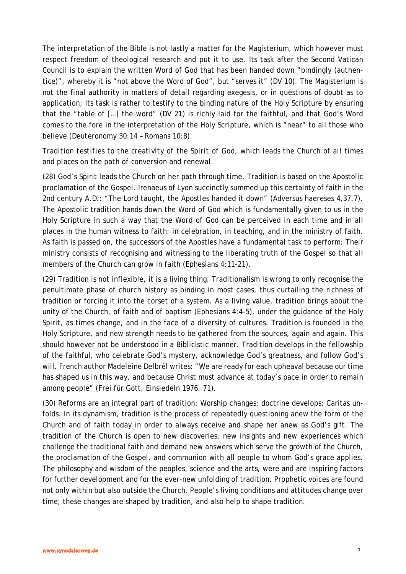The interpretation of the Bible is not lastly a matter for the Magisterium, which however must respect freedom of theological research and put it to use. Its task after the Second Vatican Council is to explain the written Word of God that has been handed down "bindingly (*authentice*)", whereby it is "not above the Word of God", but "serves it" (DV 10). The Magisterium is not the final authority in matters of detail regarding exegesis, or in questions of doubt as to application; its task is rather to testify to the binding nature of the Holy Scripture by ensuring that the "table of […] the word" (DV 21) is richly laid for the faithful, and that God's Word comes to the fore in the interpretation of the Holy Scripture, which is "near" to all those who believe (Deuteronomy 30:14 – Romans 10:8).

# *Tradition testifies to the creativity of the Spirit of God, which leads the Church of all times and places on the path of conversion and renewal.*

(28) God's Spirit leads the Church on her path through time. Tradition is based on the Apostolic proclamation of the Gospel. Irenaeus of Lyon succinctly summed up this certainty of faith in the 2nd century A.D.: "The Lord taught, the Apostles handed it down" (Adversus haereses 4,37,7). The Apostolic tradition hands down the Word of God which is fundamentally given to us in the Holy Scripture in such a way that the Word of God can be perceived in each time and in all places in the human witness to faith: in celebration, in teaching, and in the ministry of faith. As faith is passed on, the successors of the Apostles have a fundamental task to perform: Their ministry consists of recognising and witnessing to the liberating truth of the Gospel so that all members of the Church can grow in faith (Ephesians 4:11-21).

(29) Tradition is not inflexible, it is a living thing. Traditionalism is wrong to only recognise the penultimate phase of church history as binding in most cases, thus curtailing the richness of tradition or forcing it into the corset of a system. As a living value, tradition brings about the unity of the Church, of faith and of baptism (Ephesians 4:4-5), under the guidance of the Holy Spirit, as times change, and in the face of a diversity of cultures. Tradition is founded in the Holy Scripture, and new strength needs to be gathered from the sources, again and again. This should however not be understood in a Biblicistic manner. Tradition develops in the fellowship of the faithful, who celebrate God's mystery, acknowledge God's greatness, and follow God's will. French author Madeleine Delbrêl writes: "We are ready for each upheaval because our time has shaped us in this way, and because Christ must advance at today's pace in order to remain among people" (Frei für Gott, Einsiedeln 1976, 71).

(30) Reforms are an integral part of tradition: Worship changes; doctrine develops; Caritas unfolds. In its dynamism, tradition is the process of repeatedly questioning anew the form of the Church and of faith today in order to always receive and shape her anew as God's gift. The tradition of the Church is open to new discoveries, new insights and new experiences which challenge the traditional faith and demand new answers which serve the growth of the Church, the proclamation of the Gospel, and communion with all people to whom God's grace applies. The philosophy and wisdom of the peoples, science and the arts, were and are inspiring factors for further development and for the ever-new unfolding of tradition. Prophetic voices are found not only within but also outside the Church. People's living conditions and attitudes change over time; these changes are shaped by tradition, and also help to shape tradition.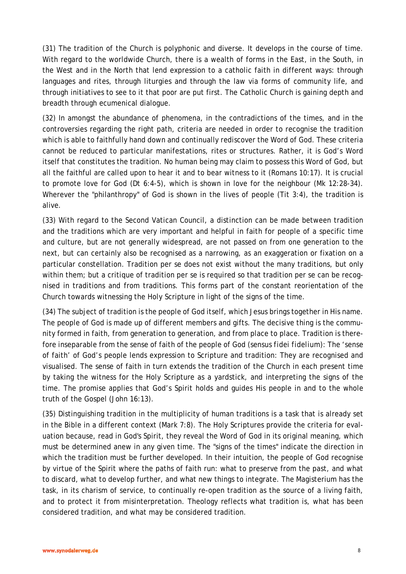(31) The tradition of the Church is polyphonic and diverse. It develops in the course of time. With regard to the worldwide Church, there is a wealth of forms in the East, in the South, in the West and in the North that lend expression to a catholic faith in different ways: through languages and rites, through liturgies and through the law via forms of community life, and through initiatives to see to it that poor are put first. The Catholic Church is gaining depth and breadth through ecumenical dialogue.

(32) In amongst the abundance of phenomena, in the contradictions of the times, and in the controversies regarding the right path, criteria are needed in order to recognise the tradition which is able to faithfully hand down and continually rediscover the Word of God. These criteria cannot be reduced to particular manifestations, rites or structures. Rather, it is God's Word itself that constitutes the tradition. No human being may claim to possess this Word of God, but all the faithful are called upon to hear it and to bear witness to it (Romans 10:17). It is crucial to promote love for God (Dt 6:4-5), which is shown in love for the neighbour (Mk 12:28-34). Wherever the "philanthropy" of God is shown in the lives of people (Tit 3:4), the tradition is alive.

(33) With regard to the Second Vatican Council, a distinction can be made between tradition and the traditions which are very important and helpful in faith for people of a specific time and culture, but are not generally widespread, are not passed on from one generation to the next, but can certainly also be recognised as a narrowing, as an exaggeration or fixation on a particular constellation. Tradition per se does not exist without *the* many traditions, but only within them; but a critique of tradition per se is required so that tradition per se can be recognised in traditions and from traditions. This forms part of the constant reorientation of the Church towards witnessing the Holy Scripture in light of the signs of the time.

(34) The subject of tradition is the people of God itself, which Jesus brings together in His name. The people of God is made up of different members and gifts. The decisive thing is the community formed in faith, from generation to generation, and from place to place. Tradition is therefore inseparable from the sense of faith of the people of God *(sensus fidei fidelium)*: The 'sense of faith' of God's people lends expression to Scripture and tradition: They are recognised and visualised. The sense of faith in turn extends the tradition of the Church in each present time by taking the witness for the Holy Scripture as a yardstick, and interpreting the signs of the time. The promise applies that God's Spirit holds and guides His people in and to the whole truth of the Gospel (John 16:13).

(35) Distinguishing tradition in the multiplicity of human traditions is a task that is already set in the Bible in a different context (Mark 7:8). The Holy Scriptures provide the criteria for evaluation because, read in God's Spirit, they reveal the Word of God in its original meaning, which must be determined anew in any given time. The "signs of the times" indicate the direction in which the tradition must be further developed. In their intuition, the people of God recognise by virtue of the Spirit where the paths of faith run: what to preserve from the past, and what to discard, what to develop further, and what new things to integrate. The Magisterium has the task, in its charism of service, to continually re-open tradition as the source of a living faith, and to protect it from misinterpretation. Theology reflects what tradition is, what has been considered tradition, and what may be considered tradition.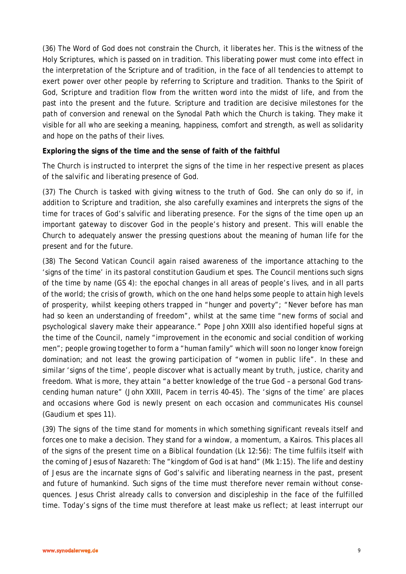(36) The Word of God does not constrain the Church, it liberates her. This is the witness of the Holy Scriptures, which is passed on in tradition. This liberating power must come into effect in the interpretation of the Scripture and of tradition, in the face of all tendencies to attempt to exert power over other people by referring to Scripture and tradition. Thanks to the Spirit of God, Scripture and tradition flow from the written word into the midst of life, and from the past into the present and the future. Scripture and tradition are decisive milestones for the path of conversion and renewal on the Synodal Path which the Church is taking. They make it visible for all who are seeking a meaning, happiness, comfort and strength, as well as solidarity and hope on the paths of their lives.

#### **Exploring the signs of the time and the sense of faith of the faithful**

### *The Church is instructed to interpret the signs of the time in her respective present as places of the salvific and liberating presence of God.*

(37) The Church is tasked with giving witness to the truth of God. She can only do so if, in addition to Scripture and tradition, she also carefully examines and interprets the signs of the time for traces of God's salvific and liberating presence. For the signs of the time open up an important gateway to discover God in the people's history and present. This will enable the Church to adequately answer the pressing questions about the meaning of human life for the present and for the future.

(38) The Second Vatican Council again raised awareness of the importance attaching to the 'signs of the time' in its pastoral constitution *Gaudium et spes*. The Council mentions such signs of the time by name (GS 4): the epochal changes in all areas of people's lives, and in all parts of the world; the crisis of growth, which on the one hand helps some people to attain high levels of prosperity, whilst keeping others trapped in "hunger and poverty"; "Never before has man had so keen an understanding of freedom", whilst at the same time "new forms of social and psychological slavery make their appearance." Pope John XXIII also identified hopeful signs at the time of the Council, namely "improvement in the economic and social condition of working men"; people growing together to form a "human family" which will soon no longer know foreign domination; and not least the growing participation of "women in public life". In these and similar 'signs of the time', people discover what is actually meant by truth, justice, charity and freedom. What is more, they attain "a better knowledge of the true God – a personal God transcending human nature" (John XXIII, *Pacem in terris* 40-45). The 'signs of the time' are places and occasions where God is newly present on each occasion and communicates His counsel (*Gaudium et spes* 11).

(39) The signs of the time stand for moments in which something significant reveals itself and forces one to make a decision. They stand for a *window*, a *momentum*, a *Kairos.* This places all of the signs of the present time on a Biblical foundation (Lk 12:56): The time fulfils itself with the coming of Jesus of Nazareth: The "kingdom of God is at hand" (Mk 1:15). The life and destiny of Jesus are *the* incarnate signs of God's salvific and liberating nearness in the past, present and future of humankind. Such signs of the time must therefore never remain without consequences. Jesus Christ already calls to conversion and discipleship in the face of the fulfilled time. Today's signs of the time must therefore at least make us reflect; at least interrupt our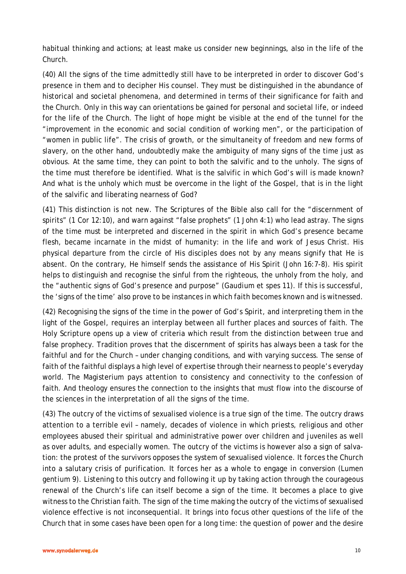habitual thinking and actions; at least make us consider new beginnings, also in the life of the Church.

(40) All the signs of the time admittedly still have to be interpreted in order to discover God's presence in them and to decipher His counsel. They must be distinguished in the abundance of historical and societal phenomena, and determined in terms of their significance for faith and the Church. Only in this way can orientations be gained for personal and societal life, or indeed for the life of the Church. The light of hope might be visible at the end of the tunnel for the "improvement in the economic and social condition of working men", or the participation of "women in public life". The crisis of growth, or the simultaneity of freedom and new forms of slavery, on the other hand, undoubtedly make the ambiguity of many signs of the time just as obvious. At the same time, they can point to both the salvific and to the unholy. The signs of the time must therefore be identified. What is the salvific in which God's will is made known? And what is the unholy which must be overcome in the light of the Gospel, that is in the light of the salvific and liberating nearness of God?

(41) This distinction is not new. The Scriptures of the Bible also call for the "discernment of spirits" (1 Cor 12:10), and warn against "false prophets" (1 John 4:1) who lead astray. The signs of the time must be interpreted and discerned in the spirit in which God's presence became flesh, became incarnate in the midst of humanity: in the life and work of Jesus Christ. His physical departure from the circle of His disciples does not by any means signify that He is absent. On the contrary, He himself sends the assistance of His Spirit (John 16:7-8). His spirit helps to distinguish and recognise the sinful from the righteous, the unholy from the holy, and the "authentic signs of God's presence and purpose" (*Gaudium et spes* 11). If this is successful, the 'signs of the time' also prove to be instances in which faith becomes known and is witnessed.

(42) Recognising the signs of the time in the power of God's Spirit, and interpreting them in the light of the Gospel, requires an interplay between all further places and sources of faith. The Holy Scripture opens up a view of criteria which result from the distinction between true and false prophecy. Tradition proves that the discernment of spirits has always been a task for the faithful and for the Church – under changing conditions, and with varying success. The sense of faith of the faithful displays a high level of expertise through their nearness to people's everyday world. The Magisterium pays attention to consistency and connectivity to the confession of faith. And theology ensures the connection to the insights that must flow into the discourse of the sciences in the interpretation of all the signs of the time.

(43) The outcry of the victims of sexualised violence is a true sign of the time. The outcry draws attention to a terrible evil – namely, decades of violence in which priests, religious and other employees abused their spiritual and administrative power over children and juveniles as well as over adults, and especially women. The outcry of the victims is however also a sign of salvation: the protest of the survivors opposes the system of sexualised violence. It forces the Church into a salutary crisis of purification. It forces her as a whole to engage in conversion (*Lumen gentium* 9). Listening to this outcry and following it up by taking action through the courageous renewal of the Church's life can itself become a sign of the time. It becomes a place to give witness to the Christian faith. The sign of the time making the outcry of the victims of sexualised violence effective is not inconsequential. It brings into focus other questions of the life of the Church that in some cases have been open for a long time: the question of power and the desire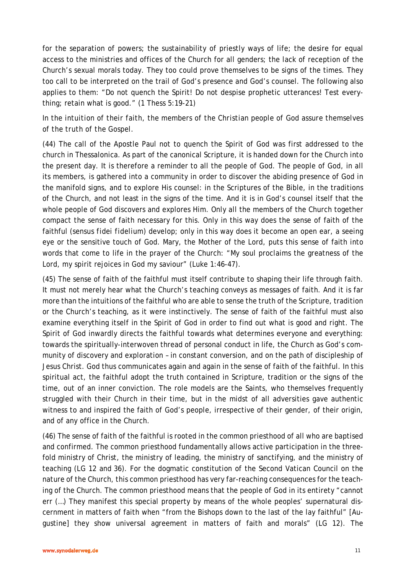for the separation of powers; the sustainability of priestly ways of life; the desire for equal access to the ministries and offices of the Church for all genders; the lack of reception of the Church's sexual morals today. They too could prove themselves to be signs of the times. They too call to be interpreted on the trail of God's presence and God's counsel. The following also applies to them: "Do not quench the Spirit! Do not despise prophetic utterances! Test everything; retain what is good." (1 Thess 5:19-21)

# *In the intuition of their faith, the members of the Christian people of God assure themselves of the truth of the Gospel.*

(44) The call of the Apostle Paul not to quench the Spirit of God was first addressed to the church in Thessalonica. As part of the canonical Scripture, it is handed down for the Church into the present day. It is therefore a reminder to all the people of God. The people of God, in all its members, is gathered into a community in order to discover the abiding presence of God in the manifold signs, and to explore His counsel: in the Scriptures of the Bible, in the traditions of the Church, and not least in the signs of the time. And it is in God's counsel itself that the whole people of God discovers and explores Him. Only all the members of the Church together compact the sense of faith necessary for this. Only in this way does the sense of faith of the faithful (*sensus fidei fidelium*) develop; only in this way does it become an open ear, a seeing eye or the sensitive touch of God. Mary, the Mother of the Lord, puts this sense of faith into words that come to life in the prayer of the Church: "My soul proclaims the greatness of the Lord, my spirit rejoices in God my saviour" (Luke 1:46-47).

(45) The sense of faith of the faithful must itself contribute to shaping their life through faith. It must not merely hear what the Church's teaching conveys as messages of faith. And it is far more than the intuitions of the faithful who are able to sense the truth of the Scripture, tradition or the Church's teaching, as it were instinctively. The sense of faith of the faithful must also examine everything itself in the Spirit of God in order to find out what is good and right. The Spirit of God inwardly directs the faithful towards what determines everyone and everything: towards the spiritually-interwoven thread of personal conduct in life, the Church as God's community of discovery and exploration – in constant conversion, and on the path of discipleship of Jesus Christ. God thus communicates again and again in the sense of faith of the faithful. In this spiritual act, the faithful adopt the truth contained in Scripture, tradition or the signs of the time, out of an inner conviction. The role models are the Saints, who themselves frequently struggled with their Church in their time, but in the midst of all adversities gave authentic witness to and inspired the faith of God's people, irrespective of their gender, of their origin, and of any office in the Church.

(46) The sense of faith of the faithful is rooted in the common priesthood of all who are baptised and confirmed. The common priesthood fundamentally allows active participation in the threefold ministry of Christ, the ministry of leading, the ministry of sanctifying, and the ministry of teaching (LG 12 and 36). For the dogmatic constitution of the Second Vatican Council on the nature of the Church, this common priesthood has very far-reaching consequences for the teaching of the Church. The common priesthood means that the people of God in its entirety "cannot err (…) They manifest this special property by means of the whole peoples' supernatural discernment in matters of faith when "from the Bishops down to the last of the lay faithful" [Augustine] they show universal agreement in matters of faith and morals" (LG 12). The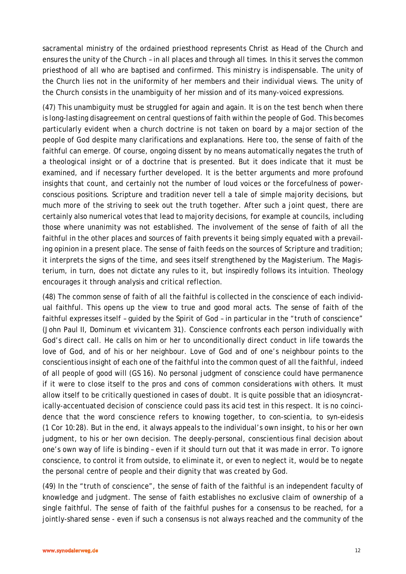sacramental ministry of the ordained priesthood represents Christ as Head of the Church and ensures the unity of the Church – in all places and through all times. In this it serves the common priesthood of all who are baptised and confirmed. This ministry is indispensable. The unity of the Church lies not in the uniformity of her members and their individual views. The unity of the Church consists in the unambiguity of her mission and of its many-voiced expressions.

(47) This unambiguity must be struggled for again and again. It is on the test bench when there is long-lasting disagreement on central questions of faith within the people of God. This becomes particularly evident when a church doctrine is not taken on board by a major section of the people of God despite many clarifications and explanations. Here too, the sense of faith of the faithful can emerge. Of course, ongoing dissent by no means automatically negates the truth of a theological insight or of a doctrine that is presented. But it does indicate that it must be examined, and if necessary further developed. It is the better arguments and more profound insights that count, and certainly not the number of loud voices or the forcefulness of powerconscious positions. Scripture and tradition never tell a tale of simple majority decisions, but much more of the striving to seek out the truth together. After such a joint quest, there are certainly also numerical votes that lead to majority decisions, for example at councils, including those where unanimity was not established. The involvement of the sense of faith of all the faithful in the other places and sources of faith prevents it being simply equated with a prevailing opinion in a present place. The sense of faith feeds on the sources of Scripture and tradition; it interprets the signs of the time, and sees itself strengthened by the Magisterium. The Magisterium, in turn, does not dictate any rules to it, but inspiredly follows its intuition. Theology encourages it through analysis and critical reflection.

(48) The common sense of faith of all the faithful is collected in the conscience of each individual faithful. This opens up the view to true and good moral acts. The sense of faith of the faithful expresses itself – guided by the Spirit of God – in particular in the "truth of conscience" (John Paul II, *Dominum et vivicantem* 31). Conscience confronts each person individually with God's direct call. He calls on him or her to unconditionally direct conduct in life towards the love of God, and of his or her neighbour. Love of God and of one's neighbour points to the conscientious insight of each one of the faithful into the common quest of all the faithful, indeed of all people of good will (GS 16). No personal judgment of conscience could have permanence if it were to close itself to the pros and cons of common considerations with others. It must allow itself to be critically questioned in cases of doubt. It is quite possible that an idiosyncratically-accentuated decision of conscience could pass its acid test in this respect. It is no coincidence that the word conscience refers to knowing together, to *con-scientia,* to *syn-eidesis*  (1 Cor 10:28). But in the end, it always appeals to the individual's own insight, to his or her own judgment, to his or her own decision. The deeply-personal, conscientious final decision about one's own way of life is binding – even if it should turn out that it was made in error. To ignore conscience, to control it from outside, to eliminate it, or even to neglect it, would be to negate the personal centre of people and their dignity that was created by God.

(49) In the "truth of conscience", the sense of faith of the faithful is an independent faculty of knowledge and judgment. The sense of faith establishes no exclusive claim of ownership of a single faithful. The sense of faith of the faithful pushes for a consensus to be reached, for a jointly-shared sense - even if such a consensus is not always reached and the community of the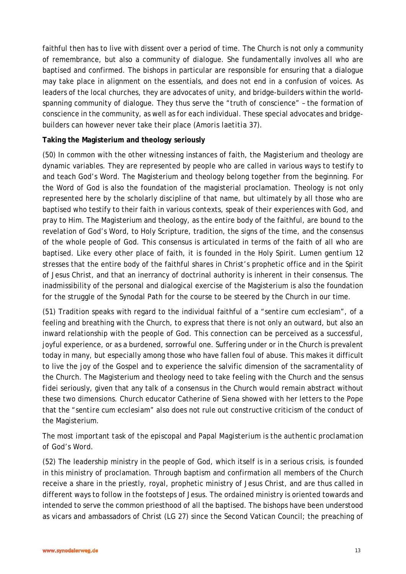faithful then has to live with dissent over a period of time. The Church is not only a community of remembrance, but also a community of dialogue. She fundamentally involves all who are baptised and confirmed. The bishops in particular are responsible for ensuring that a dialogue may take place in alignment on the essentials, and does not end in a confusion of voices. As leaders of the local churches, they are advocates of unity, and bridge-builders within the worldspanning community of dialogue. They thus serve the "truth of conscience" – the formation of conscience in the community, as well as for each individual. These special advocates and bridgebuilders can however never take their place (*Amoris laetitia* 37).

### **Taking the Magisterium and theology seriously**

(50) In common with the other witnessing instances of faith, the Magisterium and theology are dynamic variables. They are represented by people who are called in various ways to testify to and teach God's Word. The Magisterium and theology belong together from the beginning. For the Word of God is also the foundation of the magisterial proclamation. Theology is not only represented here by the scholarly discipline of that name, but ultimately by all those who are baptised who testify to their faith in various contexts, speak of their experiences with God, and pray to Him. The Magisterium and theology, as the entire body of the faithful, are bound to the revelation of God's Word, to Holy Scripture, tradition, the signs of the time, and the consensus of the whole people of God. This consensus is articulated in terms of the faith of all who are baptised. Like every other place of faith, it is founded in the Holy Spirit. *Lumen gentium* 12 stresses that the entire body of the faithful shares in Christ's prophetic office and in the Spirit of Jesus Christ, and that an inerrancy of doctrinal authority is inherent in their consensus. The inadmissibility of the personal and dialogical exercise of the Magisterium is also the foundation for the struggle of the Synodal Path for the course to be steered by the Church in our time.

(51) Tradition speaks with regard to the individual faithful of a "*sentire cum ecclesiam"*, of a feeling and breathing with the Church, to express that there is not only an outward, but also an inward relationship with the people of God. This connection can be perceived as a successful, joyful experience, or as a burdened, sorrowful one. Suffering under or in the Church is prevalent today in many, but especially among those who have fallen foul of abuse. This makes it difficult to live the joy of the Gospel and to experience the salvific dimension of the sacramentality of the Church. The Magisterium and theology need to take feeling with the Church and the *sensus fidei* seriously, given that any talk of a consensus in the Church would remain abstract without these two dimensions. Church educator Catherine of Siena showed with her letters to the Pope that the "*sentire cum ecclesiam"* also does not rule out constructive criticism of the conduct of the Magisterium.

# *The most important task of the episcopal and Papal Magisterium is the authentic proclamation of God's Word.*

(52) The leadership ministry in the people of God, which itself is in a serious crisis, is founded in this ministry of proclamation. Through baptism and confirmation all members of the Church receive a share in the priestly, royal, prophetic ministry of Jesus Christ, and are thus called in different ways to follow in the footsteps of Jesus. The ordained ministry is oriented towards and intended to serve the common priesthood of all the baptised. The bishops have been understood as vicars and ambassadors of Christ (LG 27) since the Second Vatican Council; the preaching of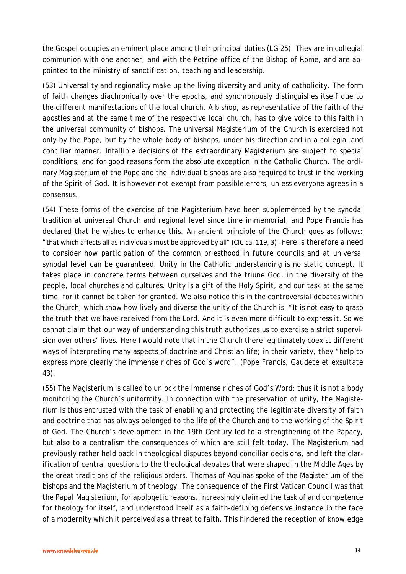the Gospel occupies an eminent place among their principal duties (LG 25). They are in collegial communion with one another, and with the Petrine office of the Bishop of Rome, and are appointed to the ministry of sanctification, teaching and leadership.

(53) Universality and regionality make up the living diversity and unity of catholicity. The form of faith changes diachronically over the epochs, and synchronously distinguishes itself due to the different manifestations of the local church. A bishop, as representative of the faith of the apostles and at the same time of the respective local church, has to give voice to this faith in the universal community of bishops. The universal Magisterium of the Church is exercised not only by the Pope, but by the whole body of bishops, under his direction and in a collegial and conciliar manner. Infallible decisions of the extraordinary Magisterium are subject to special conditions, and for good reasons form the absolute exception in the Catholic Church. The ordinary Magisterium of the Pope and the individual bishops are also required to trust in the working of the Spirit of God. It is however not exempt from possible errors, unless everyone agrees in a consensus.

(54) These forms of the exercise of the Magisterium have been supplemented by the synodal tradition at universal Church and regional level since time immemorial, and Pope Francis has declared that he wishes to enhance this. An ancient principle of the Church goes as follows: "that which affects all as individuals must be approved by all" (CIC ca. 119, 3) There is therefore a need to consider how participation of the common priesthood in future councils and at universal synodal level can be guaranteed. Unity in the Catholic understanding is no static concept. It takes place in concrete terms between ourselves and the triune God, in the diversity of the people, local churches and cultures. Unity is a gift of the Holy Spirit, and our task at the same time, for it cannot be taken for granted. We also notice this in the controversial debates within the Church, which show how lively and diverse the unity of the Church is. "It is not easy to grasp the truth that we have received from the Lord. And it is even more difficult to express it. So we cannot claim that our way of understanding this truth authorizes us to exercise a strict supervision over others' lives. Here I would note that in the Church there legitimately coexist different ways of interpreting many aspects of doctrine and Christian life; in their variety, they "help to express more clearly the immense riches of God's word". (Pope Francis, *Gaudete et exsultate* 43).

(55) The Magisterium is called to unlock the immense riches of God's Word; thus it is not a body monitoring the Church's uniformity. In connection with the preservation of unity, the Magisterium is thus entrusted with the task of enabling and protecting the legitimate diversity of faith and doctrine that has always belonged to the life of the Church and to the working of the Spirit of God. The Church's development in the 19th Century led to a strengthening of the Papacy, but also to a centralism the consequences of which are still felt today. The Magisterium had previously rather held back in theological disputes beyond conciliar decisions, and left the clarification of central questions to the theological debates that were shaped in the Middle Ages by the great traditions of the religious orders. Thomas of Aquinas spoke of the Magisterium of the bishops and the Magisterium of theology. The consequence of the First Vatican Council was that the Papal Magisterium, for apologetic reasons, increasingly claimed the task of and competence for theology for itself, and understood itself as a faith-defining defensive instance in the face of a modernity which it perceived as a threat to faith. This hindered the reception of knowledge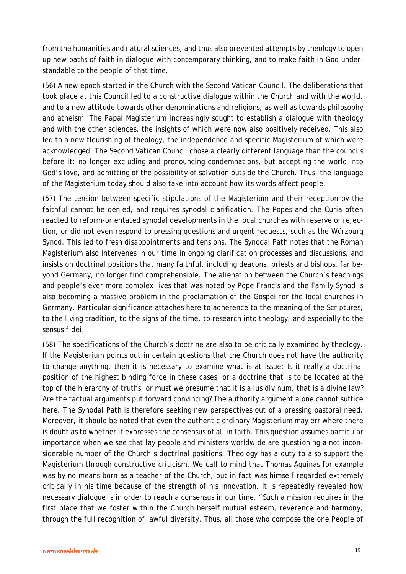from the humanities and natural sciences, and thus also prevented attempts by theology to open up new paths of faith in dialogue with contemporary thinking, and to make faith in God understandable to the people of that time.

(56) A new epoch started in the Church with the Second Vatican Council. The deliberations that took place at this Council led to a constructive dialogue within the Church and with the world, and to a new attitude towards other denominations and religions, as well as towards philosophy and atheism. The Papal Magisterium increasingly sought to establish a dialogue with theology and with the other sciences, the insights of which were now also positively received. This also led to a new flourishing of theology, the independence and specific Magisterium of which were acknowledged. The Second Vatican Council chose a clearly different language than the councils before it: no longer excluding and pronouncing condemnations, but accepting the world into God's love, and admitting of the possibility of salvation outside the Church. Thus, the language of the Magisterium today should also take into account how its words affect people.

(57) The tension between specific stipulations of the Magisterium and their reception by the faithful cannot be denied, and requires synodal clarification. The Popes and the Curia often reacted to reform-orientated synodal developments in the local churches with reserve or rejection, or did not even respond to pressing questions and urgent requests, such as the Würzburg Synod. This led to fresh disappointments and tensions. The Synodal Path notes that the Roman Magisterium also intervenes in our time in ongoing clarification processes and discussions, and insists on doctrinal positions that many faithful, including deacons, priests and bishops, far beyond Germany, no longer find comprehensible. The alienation between the Church's teachings and people's ever more complex lives that was noted by Pope Francis and the Family Synod is also becoming a massive problem in the proclamation of the Gospel for the local churches in Germany. Particular significance attaches here to adherence to the meaning of the Scriptures, to the living tradition, to the signs of the time, to research into theology, and especially to the *sensus fidei*.

(58) The specifications of the Church's doctrine are also to be critically examined by theology. If the Magisterium points out in certain questions that the Church does not have the authority to change anything, then it is necessary to examine what is at issue: Is it really a doctrinal position of the highest binding force in these cases, or a doctrine that is to be located at the top of the hierarchy of truths, or must we presume that it is a *ius divinum*, that is a divine law? Are the factual arguments put forward convincing? The authority argument alone cannot suffice here. The Synodal Path is therefore seeking new perspectives out of a pressing pastoral need. Moreover, it should be noted that even the authentic ordinary Magisterium may err where there is doubt as to whether it expresses the consensus of all in faith. This question assumes particular importance when we see that lay people and ministers worldwide are questioning a not inconsiderable number of the Church's doctrinal positions. Theology has a duty to also support the Magisterium through constructive criticism. We call to mind that Thomas Aquinas for example was by no means born as a teacher of the Church, but in fact was himself regarded extremely critically in his time because of the strength of his innovation. It is repeatedly revealed how necessary dialogue is in order to reach a consensus in our time. "Such a mission requires in the first place that we foster within the Church herself mutual esteem, reverence and harmony, through the full recognition of lawful diversity. Thus, all those who compose the one People of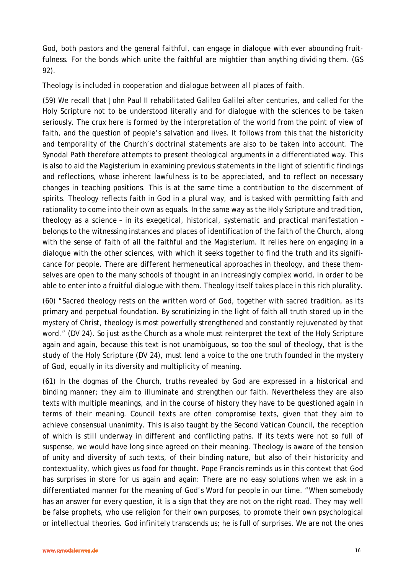God, both pastors and the general faithful, can engage in dialogue with ever abounding fruitfulness. For the bonds which unite the faithful are mightier than anything dividing them. (GS 92).

#### *Theology is included in cooperation and dialogue between all places of faith.*

(59) We recall that John Paul II rehabilitated Galileo Galilei after centuries, and called for the Holy Scripture not to be understood literally and for dialogue with the sciences to be taken seriously. The crux here is formed by the interpretation of the world from the point of view of faith, and the question of people's salvation and lives. It follows from this that the historicity and temporality of the Church's doctrinal statements are also to be taken into account. The Synodal Path therefore attempts to present theological arguments in a differentiated way. This is also to aid the Magisterium in examining previous statements in the light of scientific findings and reflections, whose inherent lawfulness is to be appreciated, and to reflect on necessary changes in teaching positions. This is at the same time a contribution to the discernment of spirits. Theology reflects faith in God in a plural way, and is tasked with permitting faith and rationality to come into their own as equals. In the same way as the Holy Scripture and tradition, theology as a science – in its exegetical, historical, systematic and practical manifestation – belongs to the witnessing instances and places of identification of the faith of the Church, along with the sense of faith of all the faithful and the Magisterium. It relies here on engaging in a dialogue with the other sciences, with which it seeks together to find the truth and its significance for people. There are different hermeneutical approaches in theology, and these themselves are open to the many schools of thought in an increasingly complex world, in order to be able to enter into a fruitful dialogue with them. Theology itself takes place in this rich plurality.

(60) "Sacred theology rests on the written word of God, together with sacred tradition, as its primary and perpetual foundation. By scrutinizing in the light of faith all truth stored up in the mystery of Christ, theology is most powerfully strengthened and constantly rejuvenated by that word." (DV 24). So just as the Church as a whole must reinterpret the text of the Holy Scripture again and again, because this text is not unambiguous, so too the soul of theology, that is the study of the Holy Scripture (DV 24), must lend a voice to the one truth founded in the mystery of God, equally in its diversity and multiplicity of meaning.

(61) In the dogmas of the Church, truths revealed by God are expressed in a historical and binding manner; they aim to illuminate and strengthen our faith. Nevertheless they are also texts with multiple meanings, and in the course of history they have to be questioned again in terms of their meaning. Council texts are often compromise texts, given that they aim to achieve consensual unanimity. This is also taught by the Second Vatican Council, the reception of which is still underway in different and conflicting paths. If its texts were not so full of suspense, we would have long since agreed on their meaning. Theology is aware of the tension of unity and diversity of such texts, of their binding nature, but also of their historicity and contextuality, which gives us food for thought. Pope Francis reminds us in this context that God has surprises in store for us again and again: There are no easy solutions when we ask in a differentiated manner for the meaning of God's Word for people in our time. "When somebody has an answer for every question, it is a sign that they are not on the right road. They may well be false prophets, who use religion for their own purposes, to promote their own psychological or intellectual theories. God infinitely transcends us; he is full of surprises. We are not the ones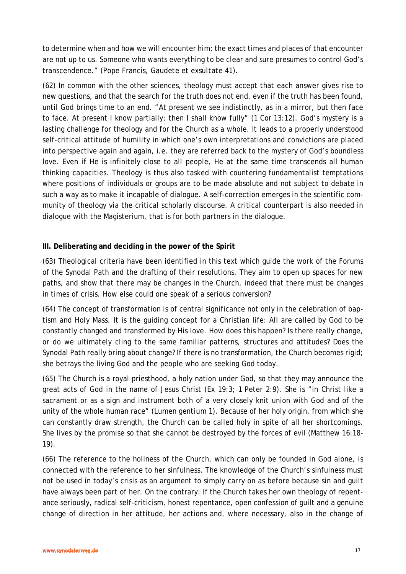to determine when and how we will encounter him; the exact times and places of that encounter are not up to us. Someone who wants everything to be clear and sure presumes to control God's transcendence." (Pope Francis, *Gaudete et exsultate* 41).

(62) In common with the other sciences, theology must accept that each answer gives rise to new questions, and that the search for the truth does not end, even if the truth has been found, until God brings time to an end. "At present we see indistinctly, as in a mirror, but then face to face. At present I know partially; then I shall know fully" (1 Cor 13:12). God's mystery is a lasting challenge for theology and for the Church as a whole. It leads to a properly understood self-critical attitude of humility in which one's own interpretations and convictions are placed into perspective again and again, i.e. they are referred back to the mystery of God's boundless love. Even if He is infinitely close to all people, He at the same time transcends all human thinking capacities. Theology is thus also tasked with countering fundamentalist temptations where positions of individuals or groups are to be made absolute and not subject to debate in such a way as to make it incapable of dialogue. A self-correction emerges in the scientific community of theology via the critical scholarly discourse. A critical counterpart is also needed in dialogue with the Magisterium, that is for both partners in the dialogue.

### **III. Deliberating and deciding in the power of the Spirit**

(63) Theological criteria have been identified in this text which guide the work of the Forums of the Synodal Path and the drafting of their resolutions. They aim to open up spaces for new paths, and show that there may be changes in the Church, indeed that there must be changes in times of crisis. How else could one speak of a serious conversion?

(64) The concept of transformation is of central significance not only in the celebration of baptism and Holy Mass. It is the guiding concept for a Christian life: All are called by God to be constantly changed and transformed by His love. How does this happen? Is there really change, or do we ultimately cling to the same familiar patterns, structures and attitudes? Does the Synodal Path really bring about change? If there is no transformation, the Church becomes rigid; she betrays the living God and the people who are seeking God today.

(65) The Church is a royal priesthood, a holy nation under God, so that they may announce the great acts of God in the name of Jesus Christ (Ex 19:3; 1 Peter 2:9). She is "in Christ like a sacrament or as a sign and instrument both of a very closely knit union with God and of the unity of the whole human race" (*Lumen gentium* 1). Because of her holy origin, from which she can constantly draw strength, the Church can be called holy in spite of all her shortcomings. She lives by the promise so that she cannot be destroyed by the forces of evil (Matthew 16:18- 19).

(66) The reference to the holiness of the Church, which can only be founded in God alone, is connected with the reference to her sinfulness. The knowledge of the Church's sinfulness must not be used in today's crisis as an argument to simply carry on as before because sin and guilt have always been part of her. On the contrary: If the Church takes her own theology of repentance seriously, radical self-criticism, honest repentance, open confession of guilt and a genuine change of direction in her attitude, her actions and, where necessary, also in the change of